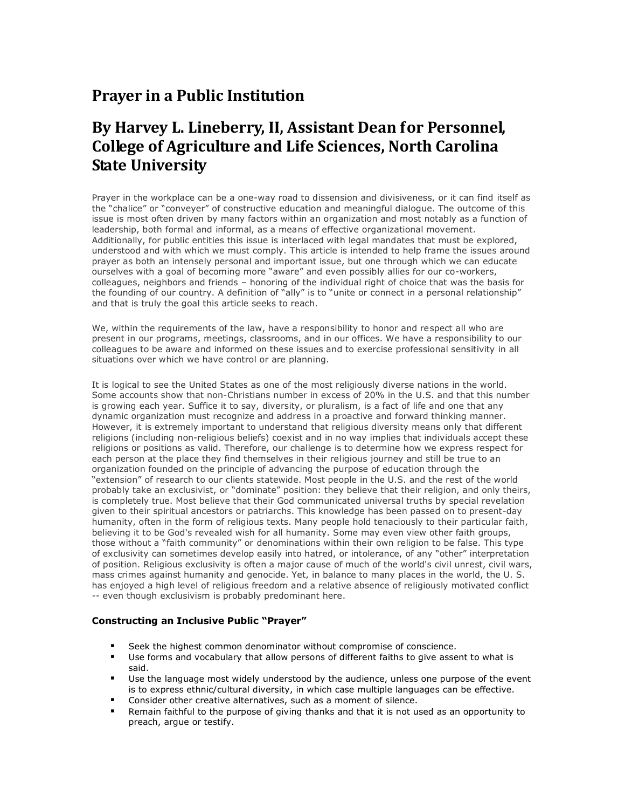# **Prayer in a Public Institution**

# **By Harvey L. Lineberry, II, Assistant Dean for Personnel, College of Agriculture and Life Sciences, North Carolina State University**

Prayer in the workplace can be a one-way road to dissension and divisiveness, or it can find itself as the "chalice" or "conveyer" of constructive education and meaningful dialogue. The outcome of this issue is most often driven by many factors within an organization and most notably as a function of leadership, both formal and informal, as a means of effective organizational movement. Additionally, for public entities this issue is interlaced with legal mandates that must be explored, understood and with which we must comply. This article is intended to help frame the issues around prayer as both an intensely personal and important issue, but one through which we can educate ourselves with a goal of becoming more "aware" and even possibly allies for our co-workers, colleagues, neighbors and friends – honoring of the individual right of choice that was the basis for the founding of our country. A definition of "ally" is to "unite or connect in a personal relationship" and that is truly the goal this article seeks to reach.

We, within the requirements of the law, have a responsibility to honor and respect all who are present in our programs, meetings, classrooms, and in our offices. We have a responsibility to our colleagues to be aware and informed on these issues and to exercise professional sensitivity in all situations over which we have control or are planning.

It is logical to see the United States as one of the most religiously diverse nations in the world. Some accounts show that non-Christians number in excess of 20% in the U.S. and that this number is growing each year. Suffice it to say, diversity, or pluralism, is a fact of life and one that any dynamic organization must recognize and address in a proactive and forward thinking manner. However, it is extremely important to understand that religious diversity means only that different religions (including non-religious beliefs) coexist and in no way implies that individuals accept these religions or positions as valid. Therefore, our challenge is to determine how we express respect for each person at the place they find themselves in their religious journey and still be true to an organization founded on the principle of advancing the purpose of education through the "extension" of research to our clients statewide. Most people in the U.S. and the rest of the world probably take an exclusivist, or "dominate" position: they believe that their religion, and only theirs, is completely true. Most believe that their God communicated universal truths by special revelation given to their spiritual ancestors or patriarchs. This knowledge has been passed on to present-day humanity, often in the form of religious texts. Many people hold tenaciously to their particular faith, believing it to be God's revealed wish for all humanity. Some may even view other faith groups, those without a "faith community" or denominations within their own religion to be false. This type of exclusivity can sometimes develop easily into hatred, or intolerance, of any "other" interpretation of position. Religious exclusivity is often a major cause of much of the world's civil unrest, civil wars, mass crimes against humanity and genocide. Yet, in balance to many places in the world, the U. S. has enjoyed a high level of religious freedom and a relative absence of religiously motivated conflict -- even though exclusivism is probably predominant here.

## **Constructing an Inclusive Public "Prayer"**

- **Seek the highest common denominator without compromise of conscience.**
- Use forms and vocabulary that allow persons of different faiths to give assent to what is said.
- **Use the language most widely understood by the audience, unless one purpose of the event** is to express ethnic/cultural diversity, in which case multiple languages can be effective.
- **Consider other creative alternatives, such as a moment of silence.**
- Remain faithful to the purpose of giving thanks and that it is not used as an opportunity to preach, argue or testify.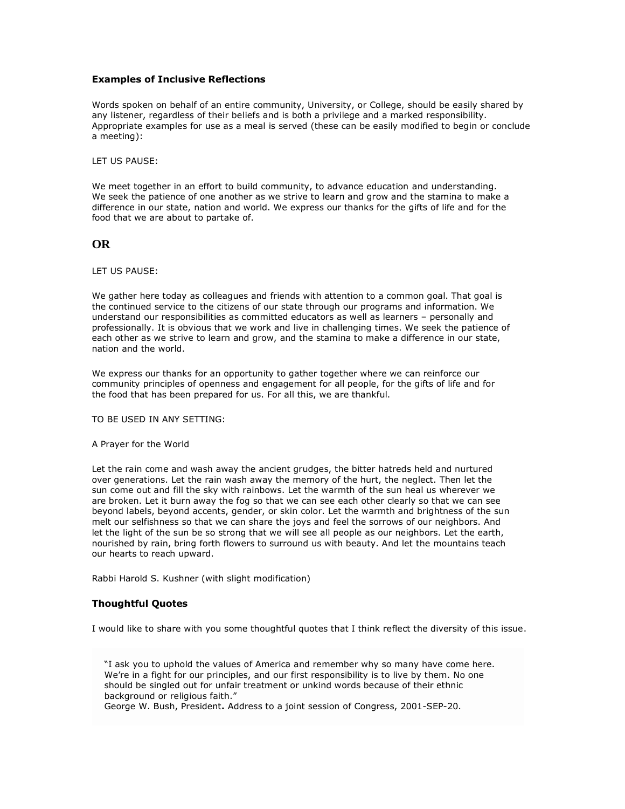### **Examples of Inclusive Reflections**

Words spoken on behalf of an entire community, University, or College, should be easily shared by any listener, regardless of their beliefs and is both a privilege and a marked responsibility. Appropriate examples for use as a meal is served (these can be easily modified to begin or conclude a meeting):

LET US PAUSE:

We meet together in an effort to build community, to advance education and understanding. We seek the patience of one another as we strive to learn and grow and the stamina to make a difference in our state, nation and world. We express our thanks for the gifts of life and for the food that we are about to partake of.

## **OR**

#### LET US PAUSE:

We gather here today as colleagues and friends with attention to a common goal. That goal is the continued service to the citizens of our state through our programs and information. We understand our responsibilities as committed educators as well as learners – personally and professionally. It is obvious that we work and live in challenging times. We seek the patience of each other as we strive to learn and grow, and the stamina to make a difference in our state, nation and the world.

We express our thanks for an opportunity to gather together where we can reinforce our community principles of openness and engagement for all people, for the gifts of life and for the food that has been prepared for us. For all this, we are thankful.

TO BE USED IN ANY SETTING:

### A Prayer for the World

Let the rain come and wash away the ancient grudges, the bitter hatreds held and nurtured over generations. Let the rain wash away the memory of the hurt, the neglect. Then let the sun come out and fill the sky with rainbows. Let the warmth of the sun heal us wherever we are broken. Let it burn away the fog so that we can see each other clearly so that we can see beyond labels, beyond accents, gender, or skin color. Let the warmth and brightness of the sun melt our selfishness so that we can share the joys and feel the sorrows of our neighbors. And let the light of the sun be so strong that we will see all people as our neighbors. Let the earth, nourished by rain, bring forth flowers to surround us with beauty. And let the mountains teach our hearts to reach upward.

Rabbi Harold S. Kushner (with slight modification)

## **Thoughtful Quotes**

I would like to share with you some thoughtful quotes that I think reflect the diversity of this issue.

"I ask you to uphold the values of America and remember why so many have come here. We're in a fight for our principles, and our first responsibility is to live by them. No one should be singled out for unfair treatment or unkind words because of their ethnic background or religious faith."

George W. Bush, President**.** Address to a joint session of Congress, 2001-SEP-20.